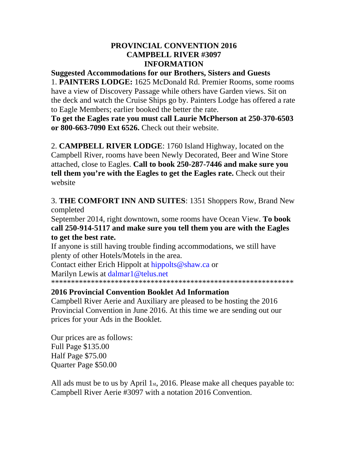### **PROVINCIAL CONVENTION 2016 CAMPBELL RIVER #3097 INFORMATION**

#### **Suggested Accommodations for our Brothers, Sisters and Guests**

1. **PAINTERS LODGE:** 1625 McDonald Rd. Premier Rooms, some rooms have a view of Discovery Passage while others have Garden views. Sit on the deck and watch the Cruise Ships go by. Painters Lodge has offered a rate to Eagle Members; earlier booked the better the rate.

**To get the Eagles rate you must call Laurie McPherson at 250-370-6503 or 800-663-7090 Ext 6526.** Check out their website.

2. **CAMPBELL RIVER LODGE**: 1760 Island Highway, located on the Campbell River, rooms have been Newly Decorated, Beer and Wine Store attached, close to Eagles. **Call to book 250-287-7446 and make sure you tell them you're with the Eagles to get the Eagles rate.** Check out their website

3. **THE COMFORT INN AND SUITES**: 1351 Shoppers Row, Brand New completed

September 2014, right downtown, some rooms have Ocean View. **To book call 250-914-5117 and make sure you tell them you are with the Eagles to get the best rate.** 

If anyone is still having trouble finding accommodations, we still have plenty of other Hotels/Motels in the area.

Contact either Erich Hippolt at hippolts@shaw.ca or

Marilyn Lewis at dalmar1@telus.net

\*\*\*\*\*\*\*\*\*\*\*\*\*\*\*\*\*\*\*\*\*\*\*\*\*\*\*\*\*\*\*\*\*\*\*\*\*\*\*\*\*\*\*\*\*\*\*\*\*\*\*\*\*\*\*\*\*\*\*\*\*

# **2016 Provincial Convention Booklet Ad Information**

Campbell River Aerie and Auxiliary are pleased to be hosting the 2016 Provincial Convention in June 2016. At this time we are sending out our prices for your Ads in the Booklet.

Our prices are as follows: Full Page \$135.00 Half Page \$75.00 Quarter Page \$50.00

All ads must be to us by April 1st, 2016. Please make all cheques payable to: Campbell River Aerie #3097 with a notation 2016 Convention.